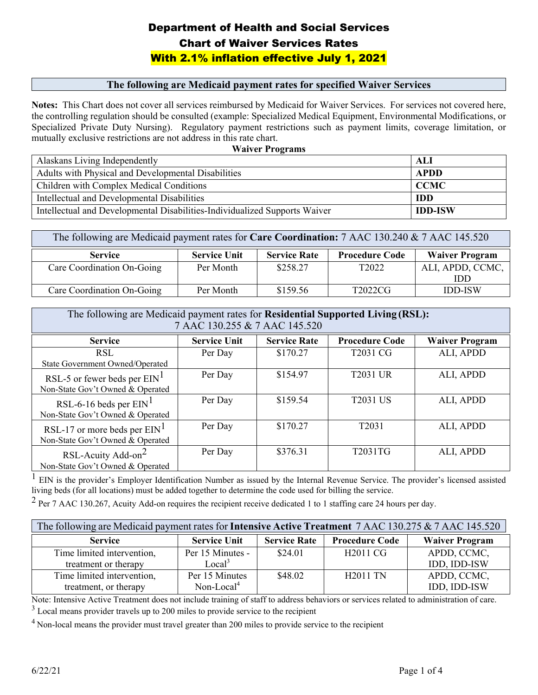#### **The following are Medicaid payment rates for specified Waiver Services**

 **Notes:** This Chart does not cover all services reimbursed by Medicaid for Waiver Services. For services not covered here, Specialized Private Duty Nursing). Regulatory payment restrictions such as payment limits, coverage limitation, or the controlling regulation should be consulted (example: Specialized Medical Equipment, Environmental Modifications, or mutually exclusive restrictions are not address in this rate chart.

| <b>Waiver Programs</b>                                                     |                |  |  |
|----------------------------------------------------------------------------|----------------|--|--|
| Alaskans Living Independently                                              | - ALI          |  |  |
| Adults with Physical and Developmental Disabilities                        | <b>APDD</b>    |  |  |
| Children with Complex Medical Conditions                                   | <b>CCMC</b>    |  |  |
| Intellectual and Developmental Disabilities                                | <b>IDD</b>     |  |  |
| Intellectual and Developmental Disabilities-Individualized Supports Waiver | <b>IDD-ISW</b> |  |  |

| The following are Medicaid payment rates for Care Coordination: 7 AAC 130.240 & 7 AAC 145.520                  |           |          |                   |                  |  |
|----------------------------------------------------------------------------------------------------------------|-----------|----------|-------------------|------------------|--|
| <b>Procedure Code</b><br><b>Waiver Program</b><br><b>Service Rate</b><br><b>Service Unit</b><br><b>Service</b> |           |          |                   |                  |  |
| Care Coordination On-Going                                                                                     | Per Month | \$258.27 | T <sub>2022</sub> | ALI, APDD, CCMC, |  |
|                                                                                                                |           |          |                   | <b>IDD</b>       |  |
| Care Coordination On-Going                                                                                     | Per Month | \$159.56 | T2022CG           | <b>IDD-ISW</b>   |  |

| The following are Medicaid payment rates for Residential Supported Living (RSL):<br>7 AAC 130.255 & 7 AAC 145.520 |                     |                     |                       |                       |
|-------------------------------------------------------------------------------------------------------------------|---------------------|---------------------|-----------------------|-----------------------|
| <b>Service</b>                                                                                                    | <b>Service Unit</b> | <b>Service Rate</b> | <b>Procedure Code</b> | <b>Waiver Program</b> |
| <b>RSL</b><br>State Government Owned/Operated                                                                     | Per Day             | \$170.27            | T2031 CG              | ALI, APDD             |
| RSL-5 or fewer beds per $EIN1$<br>Non-State Gov't Owned & Operated                                                | Per Day             | \$154.97            | <b>T2031 UR</b>       | ALI, APDD             |
| RSL-6-16 beds per $EM1$<br>Non-State Gov't Owned & Operated                                                       | Per Day             | \$159.54            | <b>T2031 US</b>       | ALI, APDD             |
| RSL-17 or more beds per $EIN1$<br>Non-State Gov't Owned & Operated                                                | Per Day             | \$170.27            | T <sub>2031</sub>     | ALI, APDD             |
| RSL-Acuity Add-on <sup>2</sup><br>Non-State Gov't Owned & Operated                                                | Per Day             | \$376.31            | T2031TG               | ALI, APDD             |

 living beds (for all locations) must be added together to determine the code used for billing the service.  $\overline{1}$  EIN is the provider's Employer Identification Number as issued by the Internal Revenue Service. The provider's licensed assisted

<sup>2</sup> Per 7 AAC 130.267, Acuity Add-on requires the recipient receive dedicated 1 to 1 staffing care 24 hours per day.

| The following are Medicaid payment rates for <b>Intensive Active Treatment</b> 7 AAC 130.275 & 7 AAC 145.520 |                     |                     |                       |                       |
|--------------------------------------------------------------------------------------------------------------|---------------------|---------------------|-----------------------|-----------------------|
| <b>Service</b>                                                                                               | <b>Service Unit</b> | <b>Service Rate</b> | <b>Procedure Code</b> | <b>Waiver Program</b> |
| Time limited intervention,                                                                                   | Per 15 Minutes -    | \$24.01             | H2011 CG              | APDD, CCMC,           |
| treatment or therapy                                                                                         | Local <sup>3</sup>  |                     |                       | IDD, IDD-ISW          |
| Time limited intervention,                                                                                   | Per 15 Minutes      | \$48.02             | <b>H2011 TN</b>       | APDD, CCMC,           |
| treatment, or therapy                                                                                        | $Non-Local4$        |                     |                       | IDD, IDD-ISW          |

 Note: Intensive Active Treatment does not include training of staff to address behaviors or services related to administration of care.  $3$  Local means provider travels up to 200 miles to provide service to the recipient

 $<sup>4</sup>$  Non-local means the provider must travel greater than 200 miles to provide service to the recipient</sup>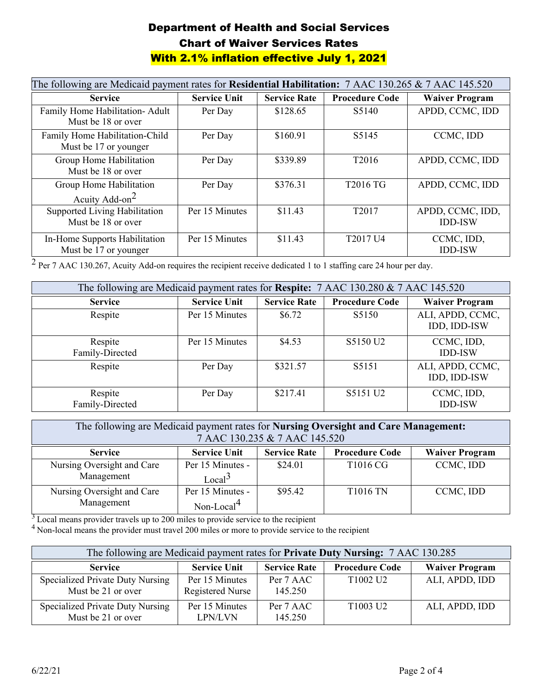| The following are Medicaid payment rates for Residential Habilitation: 7 AAC 130.265 & 7 AAC 145.520 |                     |                     |                                  |                                    |
|------------------------------------------------------------------------------------------------------|---------------------|---------------------|----------------------------------|------------------------------------|
| <b>Service</b>                                                                                       | <b>Service Unit</b> | <b>Service Rate</b> | <b>Procedure Code</b>            | <b>Waiver Program</b>              |
| Family Home Habilitation- Adult<br>Must be 18 or over                                                | Per Day             | \$128.65            | S <sub>5</sub> 140               | APDD, CCMC, IDD                    |
| Family Home Habilitation-Child<br>Must be 17 or younger                                              | Per Day             | \$160.91            | S5145                            | CCMC, IDD                          |
| Group Home Habilitation<br>Must be 18 or over                                                        | Per Day             | \$339.89            | T <sub>2016</sub>                | APDD, CCMC, IDD                    |
| Group Home Habilitation<br>Acuity Add-on $2$                                                         | Per Day             | \$376.31            | T2016 TG                         | APDD, CCMC, IDD                    |
| Supported Living Habilitation<br>Must be 18 or over                                                  | Per 15 Minutes      | \$11.43             | T <sub>2017</sub>                | APDD, CCMC, IDD,<br><b>IDD-ISW</b> |
| In-Home Supports Habilitation<br>Must be 17 or younger                                               | Per 15 Minutes      | \$11.43             | T <sub>2017</sub> U <sub>4</sub> | CCMC, IDD,<br><b>IDD-ISW</b>       |

<sup>2</sup> Per 7 AAC 130.267, Acuity Add-on requires the recipient receive dedicated 1 to 1 staffing care 24 hour per day.

| The following are Medicaid payment rates for Respite: 7 AAC 130.280 & 7 AAC 145.520 |                     |                     |                       |                                  |
|-------------------------------------------------------------------------------------|---------------------|---------------------|-----------------------|----------------------------------|
| <b>Service</b>                                                                      | <b>Service Unit</b> | <b>Service Rate</b> | <b>Procedure Code</b> | <b>Waiver Program</b>            |
| Respite                                                                             | Per 15 Minutes      | \$6.72              | S5150                 | ALI, APDD, CCMC,<br>IDD, IDD-ISW |
| Respite<br>Family-Directed                                                          | Per 15 Minutes      | \$4.53              | S5150 U2              | CCMC, IDD,<br><b>IDD-ISW</b>     |
| Respite                                                                             | Per Day             | \$321.57            | S5151                 | ALI, APDD, CCMC,<br>IDD, IDD-ISW |
| Respite<br>Family-Directed                                                          | Per Day             | \$217.41            | S5151 U2              | CCMC, IDD,<br><b>IDD-ISW</b>     |

| The following are Medicaid payment rates for Nursing Oversight and Care Management:<br>7 AAC 130.235 & 7 AAC 145.520 |                                            |                     |                       |                       |
|----------------------------------------------------------------------------------------------------------------------|--------------------------------------------|---------------------|-----------------------|-----------------------|
| <b>Service</b>                                                                                                       | <b>Service Unit</b>                        | <b>Service Rate</b> | <b>Procedure Code</b> | <b>Waiver Program</b> |
| Nursing Oversight and Care<br>Management                                                                             | Per 15 Minutes -<br>Local <sup>3</sup>     | \$24.01             | T1016 CG              | CCMC, IDD             |
| Nursing Oversight and Care<br>Management                                                                             | Per 15 Minutes -<br>Non-Local <sup>4</sup> | \$95.42             | <b>T1016 TN</b>       | CCMC, IDD             |

<sup>3</sup> Local means provider travels up to 200 miles to provide service to the recipient

<sup>4</sup> Non-local means the provider must travel 200 miles or more to provide service to the recipient

| The following are Medicaid payment rates for <b>Private Duty Nursing:</b> 7 AAC 130.285 |                                    |                      |                                  |                       |
|-----------------------------------------------------------------------------------------|------------------------------------|----------------------|----------------------------------|-----------------------|
| <b>Service</b>                                                                          | <b>Service Unit</b>                | <b>Service Rate</b>  | <b>Procedure Code</b>            | <b>Waiver Program</b> |
| Specialized Private Duty Nursing<br>Must be 21 or over                                  | Per 15 Minutes<br>Registered Nurse | Per 7 AAC<br>145.250 | T <sub>1002</sub> U <sub>2</sub> | ALI, APDD, IDD        |
| Specialized Private Duty Nursing<br>Must be 21 or over                                  | Per 15 Minutes<br>LPN/LVN          | Per 7 AAC<br>145.250 | T <sub>1003</sub> U <sub>2</sub> | ALI, APDD, IDD        |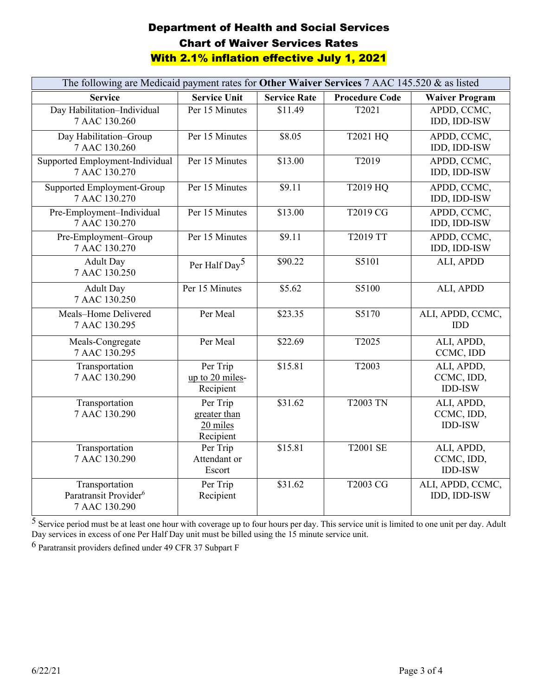| The following are Medicaid payment rates for Other Waiver Services 7 AAC 145.520 & as listed |                                                   |                     |                       |                                            |
|----------------------------------------------------------------------------------------------|---------------------------------------------------|---------------------|-----------------------|--------------------------------------------|
| <b>Service</b>                                                                               | <b>Service Unit</b>                               | <b>Service Rate</b> | <b>Procedure Code</b> | <b>Waiver Program</b>                      |
| Day Habilitation-Individual<br>7 AAC 130.260                                                 | Per 15 Minutes                                    | \$11.49             | T2021                 | APDD, CCMC,<br>IDD, IDD-ISW                |
| Day Habilitation-Group<br>7 AAC 130.260                                                      | Per 15 Minutes                                    | \$8.05              | T2021 HQ              | APDD, CCMC,<br>IDD, IDD-ISW                |
| Supported Employment-Individual<br>7 AAC 130.270                                             | Per 15 Minutes                                    | \$13.00             | T2019                 | APDD, CCMC,<br>IDD, IDD-ISW                |
| Supported Employment-Group<br>7 AAC 130.270                                                  | Per 15 Minutes                                    | \$9.11              | T2019 HQ              | APDD, CCMC,<br>IDD, IDD-ISW                |
| Pre-Employment-Individual<br>7 AAC 130.270                                                   | Per 15 Minutes                                    | \$13.00             | T2019 CG              | APDD, CCMC,<br>IDD, IDD-ISW                |
| Pre-Employment-Group<br>7 AAC 130.270                                                        | Per 15 Minutes                                    | \$9.11              | T2019 TT              | APDD, CCMC,<br>IDD, IDD-ISW                |
| <b>Adult Day</b><br>7 AAC 130.250                                                            | Per Half Day <sup>5</sup>                         | \$90.22             | S5101                 | ALI, APDD                                  |
| <b>Adult Day</b><br>7 AAC 130.250                                                            | Per 15 Minutes                                    | \$5.62              | S5100                 | ALI, APDD                                  |
| Meals-Home Delivered<br>7 AAC 130.295                                                        | Per Meal                                          | \$23.35             | S5170                 | ALI, APDD, CCMC,<br><b>IDD</b>             |
| Meals-Congregate<br>7 AAC 130.295                                                            | Per Meal                                          | \$22.69             | T2025                 | ALI, APDD,<br>CCMC, IDD                    |
| Transportation<br>7 AAC 130.290                                                              | Per Trip<br>up to 20 miles-<br>Recipient          | \$15.81             | T2003                 | ALI, APDD,<br>CCMC, IDD,<br><b>IDD-ISW</b> |
| Transportation<br>7 AAC 130.290                                                              | Per Trip<br>greater than<br>20 miles<br>Recipient | \$31.62             | <b>T2003 TN</b>       | ALI, APDD,<br>CCMC, IDD,<br><b>IDD-ISW</b> |
| Transportation<br>7 AAC 130.290                                                              | Per Trip<br>Attendant or<br>Escort                | \$15.81             | <b>T2001 SE</b>       | ALI, APDD,<br>CCMC, IDD,<br><b>IDD-ISW</b> |
| Transportation<br>Paratransit Provider <sup>6</sup><br>7 AAC 130.290                         | Per Trip<br>Recipient                             | \$31.62             | <b>T2003 CG</b>       | ALI, APDD, CCMC,<br>IDD, IDD-ISW           |

 $5$  Service period must be at least one hour with coverage up to four hours per day. This service unit is limited to one unit per day. Adult Day services in excess of one Per Half Day unit must be billed using the 15 minute service unit.

 $^6$  Paratransit providers defined under 49 CFR 37 Subpart F